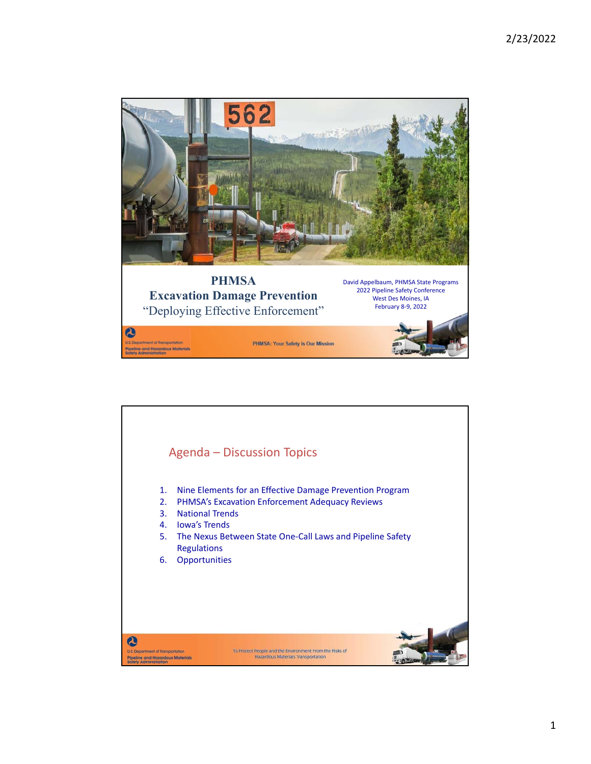

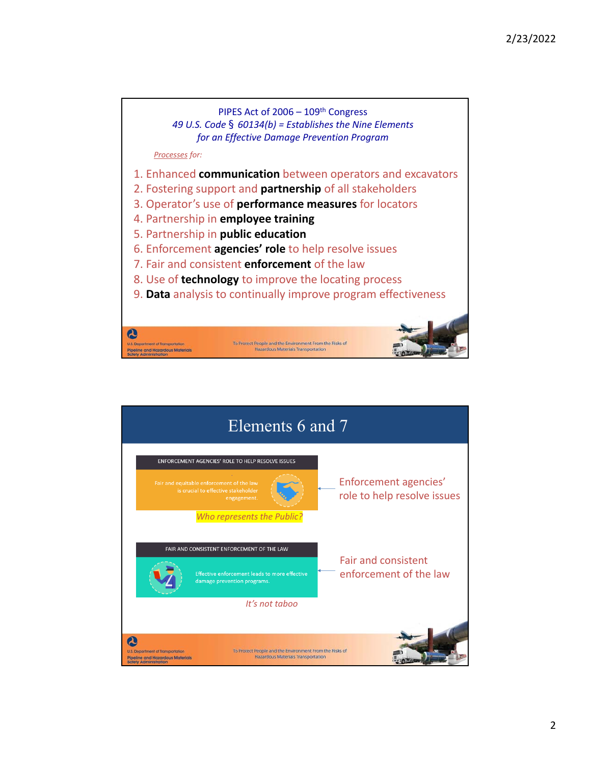

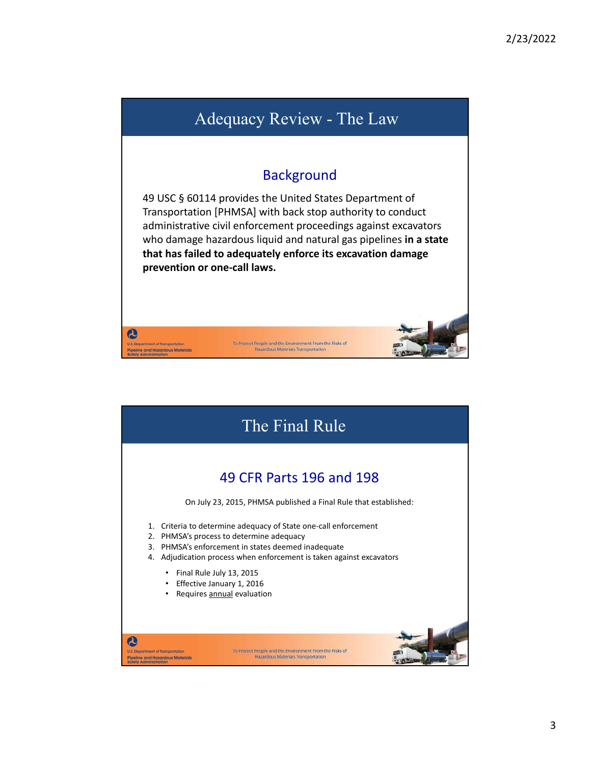## Adequacy Review - The Law

## **Background**

49 USC § 60114 provides the United States Department of Transportation [PHMSA] with back stop authority to conduct administrative civil enforcement proceedings against excavators who damage hazardous liquid and natural gas pipelines **in a state that has failed to adequately enforce its excavation damage prevention or one‐call laws.** 

To Protect People and the Environment From the Risks of<br>Hazardous Materials Transportation

 $\boldsymbol{\omega}$ 

nt of Transportation Pipeline and Hazardous Materials<br>Safety Administration

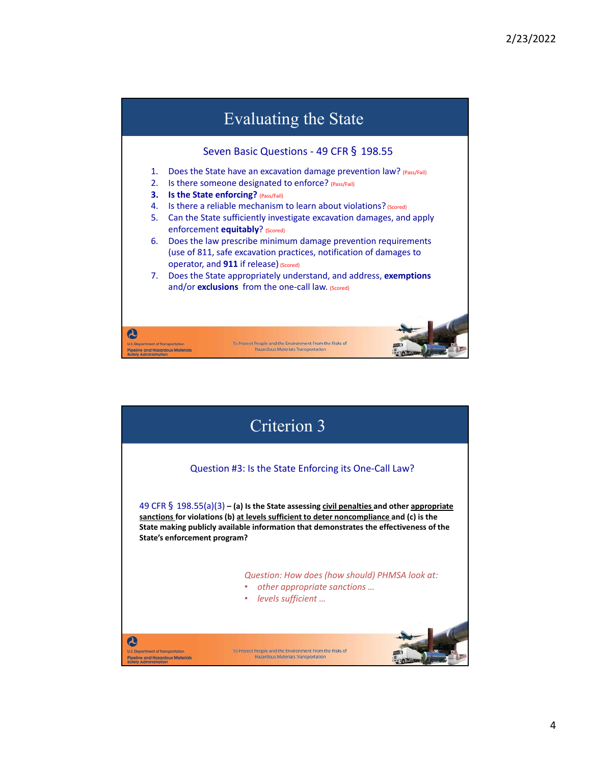## Evaluating the State Seven Basic Questions - 49 CFR § 198.55 1. Does the State have an excavation damage prevention law? (Pass/Fail) 2. Is there someone designated to enforce? (Pass/Fail) **3.** Is the State enforcing? (Pass/Fail) 4. Is there a reliable mechanism to learn about violations? (Scored) 5. Can the State sufficiently investigate excavation damages, and apply enforcement **equitably**? (Scored) 6. Does the law prescribe minimum damage prevention requirements (use of 811, safe excavation practices, notification of damages to operator, and **911** if release) (Scored) 7. Does the State appropriately understand, and address, **exemptions** and/or **exclusions** from the one-call law. (Scored)  $\boldsymbol{\omega}$ nt of Transportation To Protect People and the Environment From the Risks of<br>Hazardous Materials Transportation Pipeline and Hazardous Materials<br>Safety Administration

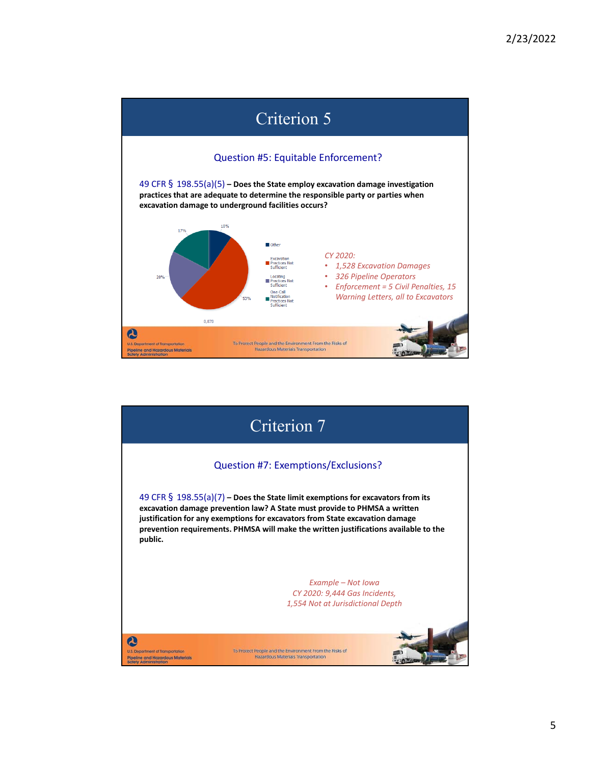

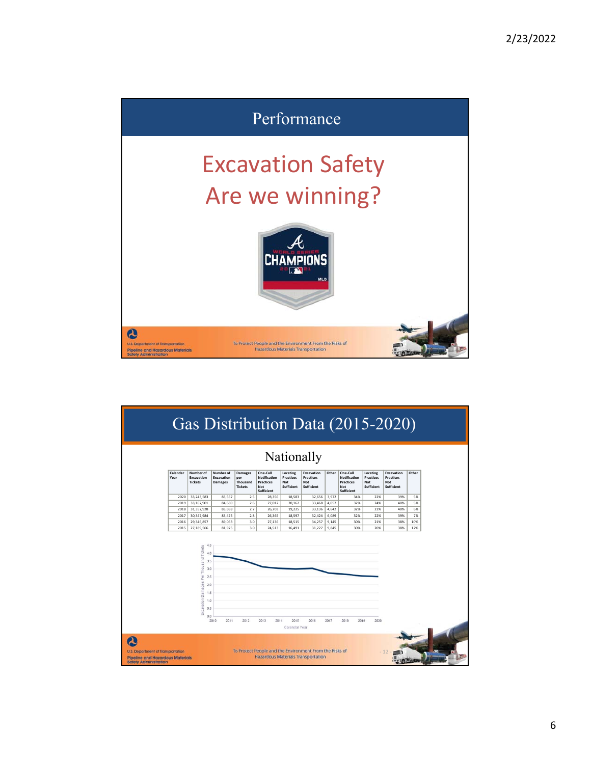

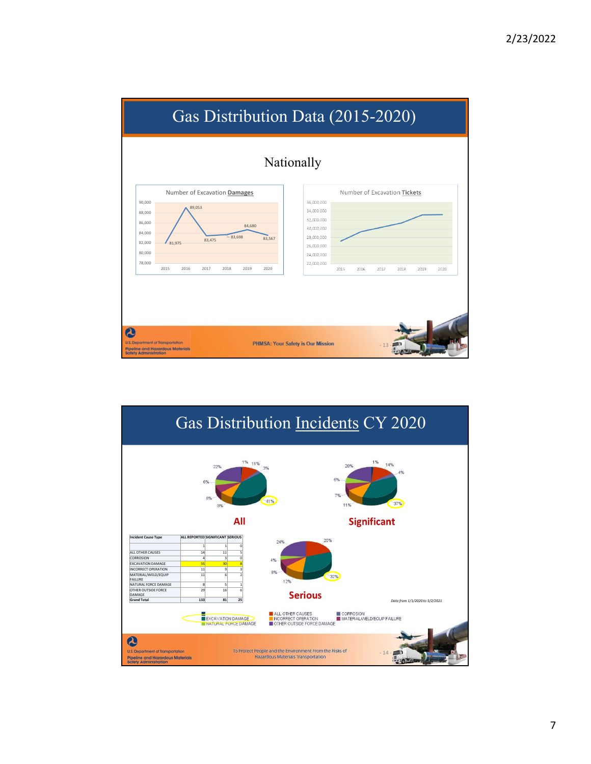

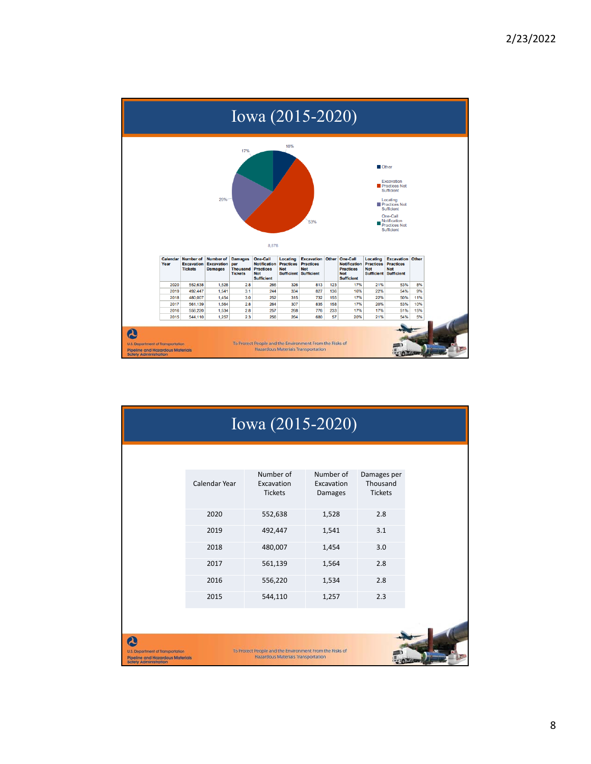

|                                                                                                                                       | Iowa (2015-2020) |                                                                                                      |                                    |                                           |
|---------------------------------------------------------------------------------------------------------------------------------------|------------------|------------------------------------------------------------------------------------------------------|------------------------------------|-------------------------------------------|
|                                                                                                                                       | Calendar Year    | Number of<br>Excavation<br><b>Tickets</b>                                                            | Number of<br>Excavation<br>Damages | Damages per<br>Thousand<br><b>Tickets</b> |
|                                                                                                                                       | 2020             | 552,638                                                                                              | 1,528                              | 2.8                                       |
|                                                                                                                                       | 2019             | 492,447                                                                                              | 1,541                              | 3.1                                       |
|                                                                                                                                       | 2018             | 480,007                                                                                              | 1,454                              | 3.0                                       |
|                                                                                                                                       | 2017             | 561,139                                                                                              | 1,564                              | 2.8                                       |
|                                                                                                                                       | 2016             | 556,220                                                                                              | 1,534                              | 2.8                                       |
|                                                                                                                                       | 2015             | 544,110                                                                                              | 1,257                              | 2.3                                       |
| $\boldsymbol{\Omega}$<br>U.S. Department of Transportation<br><b>Pipeline and Hazardous Materials</b><br><b>Safety Administration</b> |                  | To Protect People and the Environment From the Risks of<br><b>Hazardous Materials Transportation</b> |                                    |                                           |